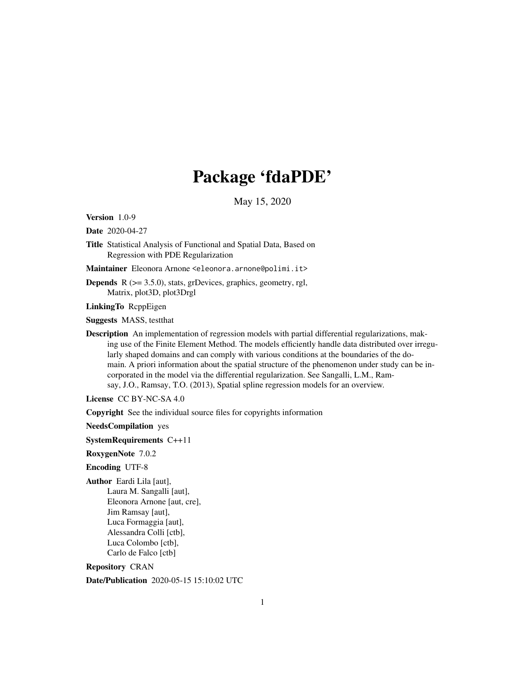# Package 'fdaPDE'

May 15, 2020

<span id="page-0-0"></span>Version 1.0-9

Date 2020-04-27

Title Statistical Analysis of Functional and Spatial Data, Based on Regression with PDE Regularization

Maintainer Eleonora Arnone <eleonora.arnone@polimi.it>

**Depends**  $R$  ( $>= 3.5.0$ ), stats, grDevices, graphics, geometry, rgl, Matrix, plot3D, plot3Drgl

LinkingTo RcppEigen

Suggests MASS, testthat

Description An implementation of regression models with partial differential regularizations, making use of the Finite Element Method. The models efficiently handle data distributed over irregularly shaped domains and can comply with various conditions at the boundaries of the domain. A priori information about the spatial structure of the phenomenon under study can be incorporated in the model via the differential regularization. See Sangalli, L.M., Ramsay, J.O., Ramsay, T.O. (2013), Spatial spline regression models for an overview.

License CC BY-NC-SA 4.0

Copyright See the individual source files for copyrights information

NeedsCompilation yes

SystemRequirements C++11

RoxygenNote 7.0.2

Encoding UTF-8

Author Eardi Lila [aut],

Laura M. Sangalli [aut], Eleonora Arnone [aut, cre], Jim Ramsay [aut], Luca Formaggia [aut], Alessandra Colli [ctb], Luca Colombo [ctb], Carlo de Falco [ctb]

Repository CRAN

Date/Publication 2020-05-15 15:10:02 UTC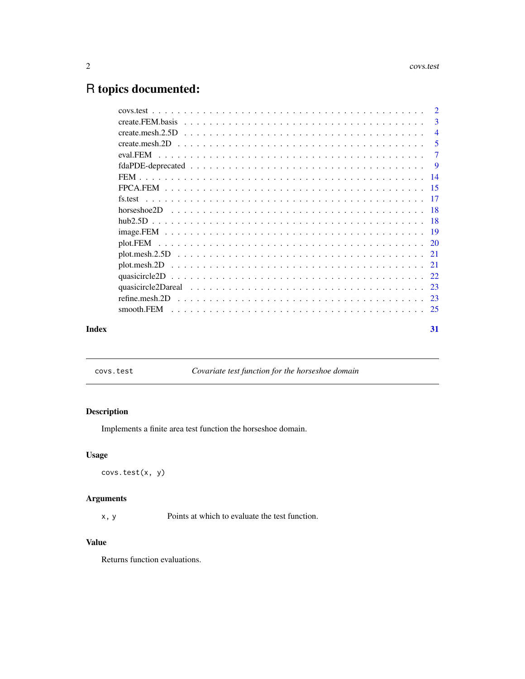## <span id="page-1-0"></span>R topics documented:

|       |                | $\overline{3}$ |
|-------|----------------|----------------|
|       |                | $\overline{4}$ |
|       |                | -5             |
|       |                |                |
|       |                |                |
|       |                |                |
|       |                |                |
|       |                |                |
|       |                |                |
|       |                |                |
|       |                |                |
|       |                |                |
|       |                |                |
|       |                |                |
|       |                |                |
|       |                |                |
|       | refine.mesh.2D |                |
|       |                |                |
| Index |                | 31             |

covs.test *Covariate test function for the horseshoe domain*

### Description

Implements a finite area test function the horseshoe domain.

#### Usage

covs.test(x, y)

#### Arguments

x, y Points at which to evaluate the test function.

#### Value

Returns function evaluations.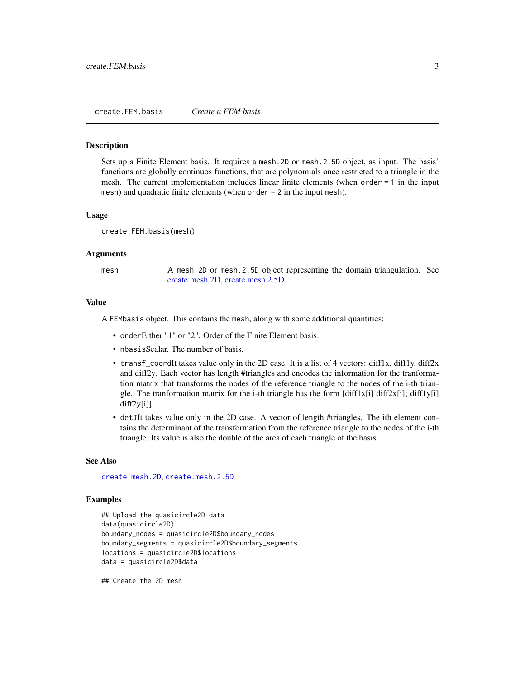#### <span id="page-2-1"></span><span id="page-2-0"></span>Description

Sets up a Finite Element basis. It requires a mesh.2D or mesh.2.5D object, as input. The basis' functions are globally continuos functions, that are polynomials once restricted to a triangle in the mesh. The current implementation includes linear finite elements (when order = 1 in the input mesh) and quadratic finite elements (when order = 2 in the input mesh).

#### Usage

create.FEM.basis(mesh)

#### Arguments

mesh A mesh. 2D or mesh. 2.5D object representing the domain triangulation. See [create.mesh.2D,](#page-4-1) [create.mesh.2.5D.](#page-3-1)

#### Value

A FEMbasis object. This contains the mesh, along with some additional quantities:

- orderEither "1" or "2". Order of the Finite Element basis.
- nbasisScalar. The number of basis.
- transf\_coordIt takes value only in the 2D case. It is a list of 4 vectors:  $diff1x$ ,  $diff1y$ ,  $diff2x$ and diff2y. Each vector has length #triangles and encodes the information for the tranformation matrix that transforms the nodes of the reference triangle to the nodes of the i-th triangle. The tranformation matrix for the i-th triangle has the form  $\left[ \text{diff1x}[i] \right] \text{diff2x}[i]$ ; diff1y $\left[ i \right]$ diff2y[i]].
- detJIt takes value only in the 2D case. A vector of length #triangles. The ith element contains the determinant of the transformation from the reference triangle to the nodes of the i-th triangle. Its value is also the double of the area of each triangle of the basis.

#### See Also

[create.mesh.2D](#page-4-1), [create.mesh.2.5D](#page-3-1)

#### Examples

```
## Upload the quasicircle2D data
data(quasicircle2D)
boundary_nodes = quasicircle2D$boundary_nodes
boundary_segments = quasicircle2D$boundary_segments
locations = quasicircle2D$locations
data = quasicircle2D$data
```
## Create the 2D mesh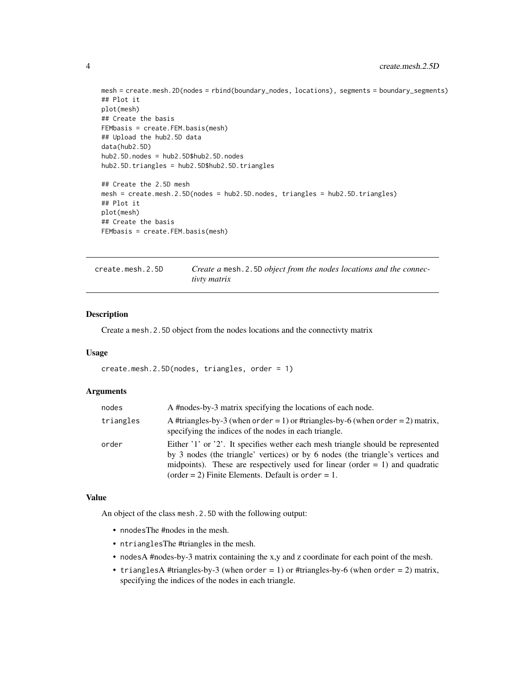```
mesh = create.mesh.2D(nodes = rbind(boundary_nodes, locations), segments = boundary_segments)
## Plot it
plot(mesh)
## Create the basis
FEMbasis = create.FEM.basis(mesh)
## Upload the hub2.5D data
data(hub2.5D)
hub2.5D.nodes = hub2.5D$hub2.5D.nodes
hub2.5D.triangles = hub2.5D$hub2.5D.triangles
## Create the 2.5D mesh
mesh = create.mesh.2.5D(nodes = hub2.5D.nodes, triangles = hub2.5D.triangles)
## Plot it
plot(mesh)
## Create the basis
FEMbasis = create.FEM.basis(mesh)
```
<span id="page-3-1"></span>

| create.mesh.2.5D | Create a mesh. 2.5D object from the nodes locations and the connec- |
|------------------|---------------------------------------------------------------------|
|                  | tivty matrix                                                        |

#### Description

Create a mesh.2.5D object from the nodes locations and the connectivty matrix

#### Usage

create.mesh.2.5D(nodes, triangles, order = 1)

#### Arguments

| nodes     | A #nodes-by-3 matrix specifying the locations of each node.                                                                                                                                                                                                                                                |
|-----------|------------------------------------------------------------------------------------------------------------------------------------------------------------------------------------------------------------------------------------------------------------------------------------------------------------|
| triangles | A #triangles-by-3 (when order = 1) or #triangles-by-6 (when order = 2) matrix,<br>specifying the indices of the nodes in each triangle.                                                                                                                                                                    |
| order     | Either '1' or '2'. It specifies wether each mesh triangle should be represented<br>by 3 nodes (the triangle' vertices) or by 6 nodes (the triangle's vertices and<br>midpoints). These are respectively used for linear (order $= 1$ ) and quadratic<br>(order = 2) Finite Elements. Default is order = 1. |

#### Value

An object of the class mesh.2.5D with the following output:

- nnodesThe #nodes in the mesh.
- ntrianglesThe #triangles in the mesh.
- nodesA #nodes-by-3 matrix containing the x,y and z coordinate for each point of the mesh.
- trianglesA #triangles-by-3 (when  $order = 1$ ) or #triangles-by-6 (when  $order = 2$ ) matrix, specifying the indices of the nodes in each triangle.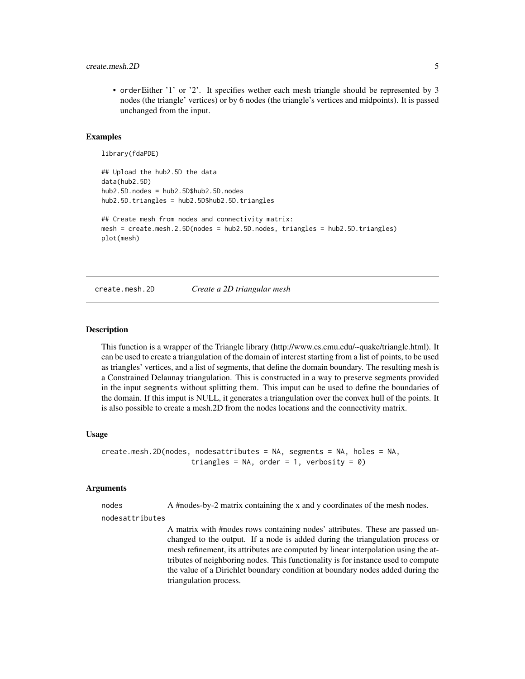#### <span id="page-4-0"></span>create.mesh.2D 5

• orderEither '1' or '2'. It specifies wether each mesh triangle should be represented by 3 nodes (the triangle' vertices) or by 6 nodes (the triangle's vertices and midpoints). It is passed unchanged from the input.

#### Examples

```
library(fdaPDE)
## Upload the hub2.5D the data
data(hub2.5D)
hub2.5D.nodes = hub2.5D$hub2.5D.nodes
hub2.5D.triangles = hub2.5D$hub2.5D.triangles
## Create mesh from nodes and connectivity matrix:
mesh = create.mesh.2.5D(nodes = hub2.5D.nodes, triangles = hub2.5D.triangles)
plot(mesh)
```
#### create.mesh.2D *Create a 2D triangular mesh*

#### **Description**

This function is a wrapper of the Triangle library (http://www.cs.cmu.edu/~quake/triangle.html). It can be used to create a triangulation of the domain of interest starting from a list of points, to be used as triangles' vertices, and a list of segments, that define the domain boundary. The resulting mesh is a Constrained Delaunay triangulation. This is constructed in a way to preserve segments provided in the input segments without splitting them. This imput can be used to define the boundaries of the domain. If this imput is NULL, it generates a triangulation over the convex hull of the points. It is also possible to create a mesh.2D from the nodes locations and the connectivity matrix.

#### Usage

```
create.mesh.2D(nodes, nodesattributes = NA, segments = NA, holes = NA,
                     triangles = NA, order = 1, verbosity = 0)
```
#### Arguments

nodes A #nodes-by-2 matrix containing the x and y coordinates of the mesh nodes.

nodesattributes

A matrix with #nodes rows containing nodes' attributes. These are passed unchanged to the output. If a node is added during the triangulation process or mesh refinement, its attributes are computed by linear interpolation using the attributes of neighboring nodes. This functionality is for instance used to compute the value of a Dirichlet boundary condition at boundary nodes added during the triangulation process.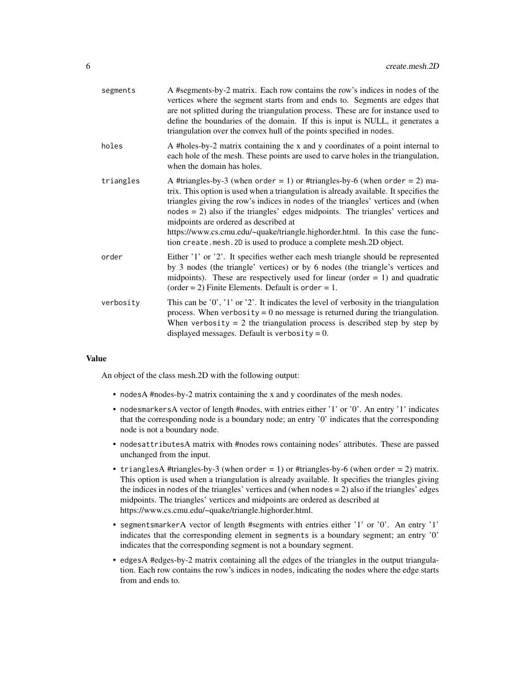| segments  | A #segments-by-2 matrix. Each row contains the row's indices in nodes of the<br>vertices where the segment starts from and ends to. Segments are edges that<br>are not splitted during the triangulation process. These are for instance used to<br>define the boundaries of the domain. If this is input is NULL, it generates a<br>triangulation over the convex hull of the points specified in nodes.                                                                                                                                    |
|-----------|----------------------------------------------------------------------------------------------------------------------------------------------------------------------------------------------------------------------------------------------------------------------------------------------------------------------------------------------------------------------------------------------------------------------------------------------------------------------------------------------------------------------------------------------|
| holes     | A #holes-by-2 matrix containing the x and y coordinates of a point internal to<br>each hole of the mesh. These points are used to carve holes in the triangulation,<br>when the domain has holes.                                                                                                                                                                                                                                                                                                                                            |
| triangles | A #triangles-by-3 (when order = 1) or #triangles-by-6 (when order = 2) ma-<br>trix. This option is used when a triangulation is already available. It specifies the<br>triangles giving the row's indices in nodes of the triangles' vertices and (when<br>$nodes = 2)$ also if the triangles' edges midpoints. The triangles' vertices and<br>midpoints are ordered as described at<br>https://www.cs.cmu.edu/~quake/triangle.highorder.html. In this case the func-<br>tion create.mesh. 2D is used to produce a complete mesh. 2D object. |
| order     | Either '1' or '2'. It specifies wether each mesh triangle should be represented<br>by 3 nodes (the triangle' vertices) or by 6 nodes (the triangle's vertices and<br>midpoints). These are respectively used for linear (order $= 1$ ) and quadratic<br>(order = 2) Finite Elements. Default is order = 1.                                                                                                                                                                                                                                   |
| verbosity | This can be $'0'$ , $'1'$ or $'2'$ . It indicates the level of verbosity in the triangulation<br>process. When verbosity = $0$ no message is returned during the triangulation.<br>When verbosity $= 2$ the triangulation process is described step by step by<br>displayed messages. Default is verbosity = $0$ .                                                                                                                                                                                                                           |

#### Value

An object of the class mesh.2D with the following output:

- nodesA #nodes-by-2 matrix containing the x and y coordinates of the mesh nodes.
- nodesmarkersA vector of length #nodes, with entries either '1' or '0'. An entry '1' indicates that the corresponding node is a boundary node; an entry '0' indicates that the corresponding node is not a boundary node.
- nodesattributesA matrix with #nodes rows containing nodes' attributes. These are passed unchanged from the input.
- trianglesA #triangles-by-3 (when  $order = 1$ ) or #triangles-by-6 (when  $order = 2$ ) matrix. This option is used when a triangulation is already available. It specifies the triangles giving the indices in nodes of the triangles' vertices and (when nodes = 2) also if the triangles' edges midpoints. The triangles' vertices and midpoints are ordered as described at https://www.cs.cmu.edu/~quake/triangle.highorder.html.
- segmentsmarkerA vector of length #segments with entries either '1' or '0'. An entry '1' indicates that the corresponding element in segments is a boundary segment; an entry '0' indicates that the corresponding segment is not a boundary segment.
- edgesA #edges-by-2 matrix containing all the edges of the triangles in the output triangulation. Each row contains the row's indices in nodes, indicating the nodes where the edge starts from and ends to.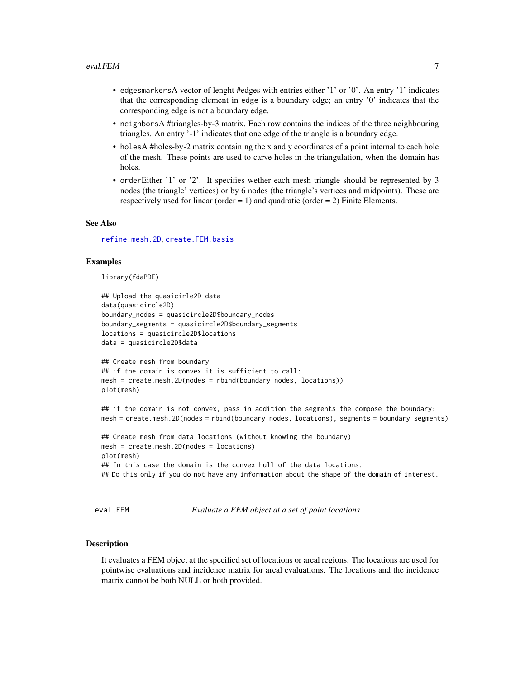- <span id="page-6-0"></span>• edgesmarkersA vector of lenght #edges with entries either '1' or '0'. An entry '1' indicates that the corresponding element in edge is a boundary edge; an entry '0' indicates that the corresponding edge is not a boundary edge.
- neighborsA #triangles-by-3 matrix. Each row contains the indices of the three neighbouring triangles. An entry '-1' indicates that one edge of the triangle is a boundary edge.
- holesA #holes-by-2 matrix containing the x and y coordinates of a point internal to each hole of the mesh. These points are used to carve holes in the triangulation, when the domain has holes.
- orderEither '1' or '2'. It specifies wether each mesh triangle should be represented by 3 nodes (the triangle' vertices) or by 6 nodes (the triangle's vertices and midpoints). These are respectively used for linear (order = 1) and quadratic (order = 2) Finite Elements.

#### See Also

[refine.mesh.2D](#page-22-1), [create.FEM.basis](#page-2-1)

#### Examples

library(fdaPDE)

```
## Upload the quasicirle2D data
data(quasicircle2D)
boundary_nodes = quasicircle2D$boundary_nodes
boundary_segments = quasicircle2D$boundary_segments
locations = quasicircle2D$locations
data = quasicircle2D$data
## Create mesh from boundary
## if the domain is convex it is sufficient to call:
mesh = create.mesh.2D(nodes = rbind(boundary_nodes, locations))
plot(mesh)
## if the domain is not convex, pass in addition the segments the compose the boundary:
mesh = create.mesh.2D(nodes = rbind(boundary_nodes, locations), segments = boundary_segments)
## Create mesh from data locations (without knowing the boundary)
mesh = create.mesh.2D(nodes = locations)
plot(mesh)
## In this case the domain is the convex hull of the data locations.
## Do this only if you do not have any information about the shape of the domain of interest.
```
eval.FEM *Evaluate a FEM object at a set of point locations*

#### **Description**

It evaluates a FEM object at the specified set of locations or areal regions. The locations are used for pointwise evaluations and incidence matrix for areal evaluations. The locations and the incidence matrix cannot be both NULL or both provided.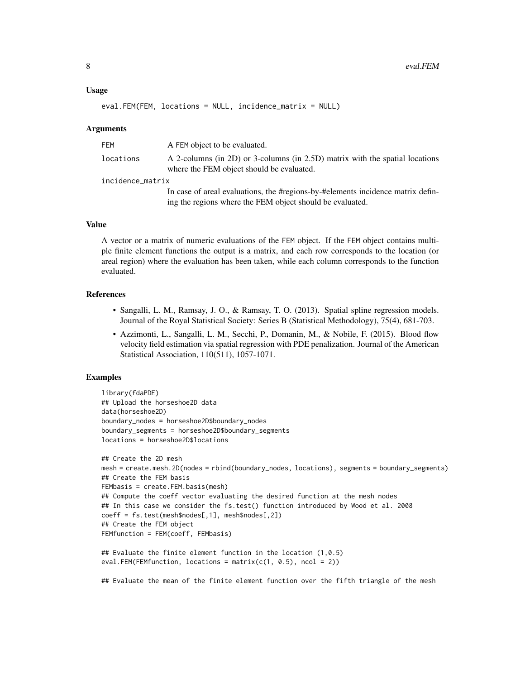#### Usage

```
eval.FEM(FEM, locations = NULL, incidence_matrix = NULL)
```
#### Arguments

| FEM              | A FEM object to be evaluated.                                                                                                                |
|------------------|----------------------------------------------------------------------------------------------------------------------------------------------|
| locations        | A 2-columns (in 2D) or 3-columns (in 2.5D) matrix with the spatial locations<br>where the FEM object should be evaluated.                    |
| incidence_matrix |                                                                                                                                              |
|                  | In case of areal evaluations, the #regions-by-#elements incidence matrix defin-<br>ing the regions where the FEM object should be evaluated. |

#### Value

A vector or a matrix of numeric evaluations of the FEM object. If the FEM object contains multiple finite element functions the output is a matrix, and each row corresponds to the location (or areal region) where the evaluation has been taken, while each column corresponds to the function evaluated.

#### References

- Sangalli, L. M., Ramsay, J. O., & Ramsay, T. O. (2013). Spatial spline regression models. Journal of the Royal Statistical Society: Series B (Statistical Methodology), 75(4), 681-703.
- Azzimonti, L., Sangalli, L. M., Secchi, P., Domanin, M., & Nobile, F. (2015). Blood flow velocity field estimation via spatial regression with PDE penalization. Journal of the American Statistical Association, 110(511), 1057-1071.

#### Examples

```
library(fdaPDE)
## Upload the horseshoe2D data
data(horseshoe2D)
boundary_nodes = horseshoe2D$boundary_nodes
boundary_segments = horseshoe2D$boundary_segments
locations = horseshoe2D$locations
## Create the 2D mesh
mesh = create.mesh.2D(nodes = rbind(boundary_nodes, locations), segments = boundary_segments)
## Create the FEM basis
FEMbasis = create.FEM.basis(mesh)
## Compute the coeff vector evaluating the desired function at the mesh nodes
## In this case we consider the fs.test() function introduced by Wood et al. 2008
coeff = fs.test(mesh$nodes[,1], mesh$nodes[,2])
## Create the FEM object
FEMfunction = FEM(coeff, FEMbasis)
## Evaluate the finite element function in the location (1,0.5)
eval.FEM(FEMfunction, locations = matrix(c(1, 0.5), ncol = 2))
```
## Evaluate the mean of the finite element function over the fifth triangle of the mesh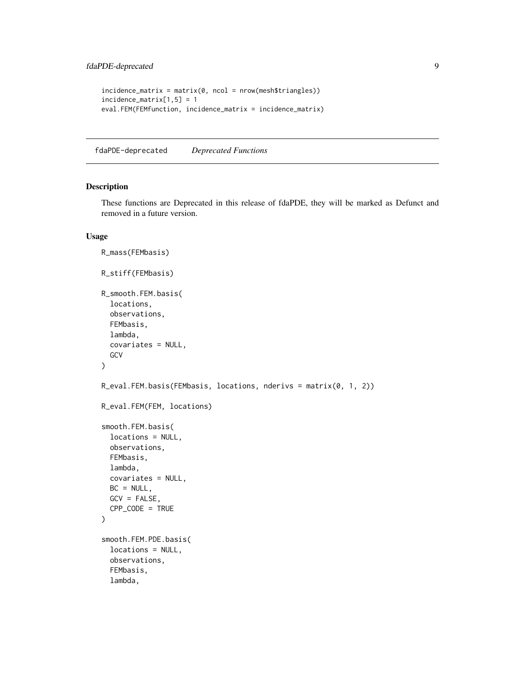```
incidence_matrix = matrix(0, ncol = nrow(mesh$triangles))incidence_matrix[1,5] = 1
eval.FEM(FEMfunction, incidence_matrix = incidence_matrix)
```
fdaPDE-deprecated *Deprecated Functions*

#### <span id="page-8-1"></span>Description

These functions are Deprecated in this release of fdaPDE, they will be marked as Defunct and removed in a future version.

#### Usage

```
R_mass(FEMbasis)
R_stiff(FEMbasis)
R_smooth.FEM.basis(
  locations,
  observations,
  FEMbasis,
  lambda,
  covariates = NULL,
 GCV
\mathcal{L}R_eval.FEM.basis(FEMbasis, locations, nderivs = matrix(0, 1, 2))
R_eval.FEM(FEM, locations)
smooth.FEM.basis(
  locations = NULL,
  observations,
  FEMbasis,
  lambda,
  covariates = NULL,
  BC = NULL,GCV = FALSE,CPP\_CODE = TRUE\mathcal{L}smooth.FEM.PDE.basis(
  locations = NULL,
  observations,
  FEMbasis,
  lambda,
```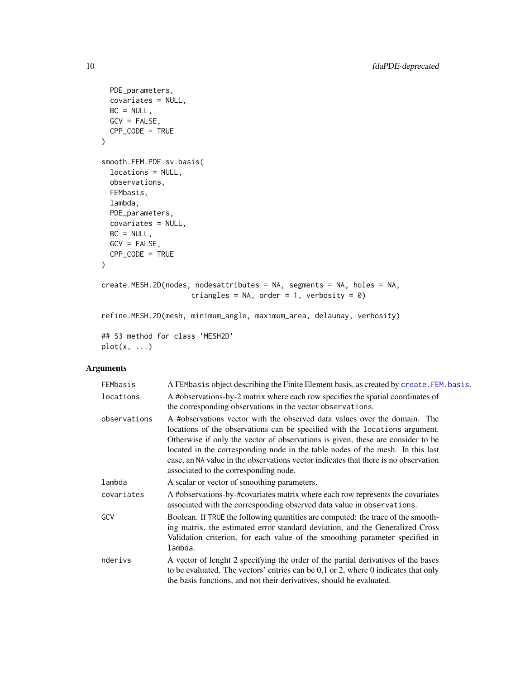```
PDE_parameters,
 covariates = NULL,
 BC = NULL,
 GCV = FALSE,CPP\_CODE = TRUE\mathcal{L}smooth.FEM.PDE.sv.basis(
  locations = NULL,
 observations,
 FEMbasis,
 lambda,
 PDE_parameters,
 covariates = NULL,
 BC = NULL,GCV = FALSE,CPP_CODE = TRUE
\mathcal{L}create.MESH.2D(nodes, nodesattributes = NA, segments = NA, holes = NA,
                      triangles = NA, order = 1, verbosity = 0)
refine.MESH.2D(mesh, minimum_angle, maximum_area, delaunay, verbosity)
## S3 method for class 'MESH2D'
```
 $plot(x, \ldots)$ 

### Arguments

| FEMbasis     | A FEMbasis object describing the Finite Element basis, as created by create. FEM. basis.                                                                                                                                                                                                                                                                                                                                                                      |
|--------------|---------------------------------------------------------------------------------------------------------------------------------------------------------------------------------------------------------------------------------------------------------------------------------------------------------------------------------------------------------------------------------------------------------------------------------------------------------------|
| locations    | A #observations-by-2 matrix where each row specifies the spatial coordinates of<br>the corresponding observations in the vector observations.                                                                                                                                                                                                                                                                                                                 |
| observations | A #observations vector with the observed data values over the domain. The<br>locations of the observations can be specified with the locations argument.<br>Otherwise if only the vector of observations is given, these are consider to be<br>located in the corresponding node in the table nodes of the mesh. In this last<br>case, an NA value in the observations vector indicates that there is no observation<br>associated to the corresponding node. |
| lambda       | A scalar or vector of smoothing parameters.                                                                                                                                                                                                                                                                                                                                                                                                                   |
| covariates   | A #observations-by-#covariates matrix where each row represents the covariates<br>associated with the corresponding observed data value in observations.                                                                                                                                                                                                                                                                                                      |
| GCV          | Boolean. If TRUE the following quantities are computed: the trace of the smooth-<br>ing matrix, the estimated error standard deviation, and the Generalized Cross<br>Validation criterion, for each value of the smoothing parameter specified in<br>lambda.                                                                                                                                                                                                  |
| nderivs      | A vector of lenght 2 specifying the order of the partial derivatives of the bases<br>to be evaluated. The vectors' entries can be $0,1$ or $2$ , where $0$ indicates that only<br>the basis functions, and not their derivatives, should be evaluated.                                                                                                                                                                                                        |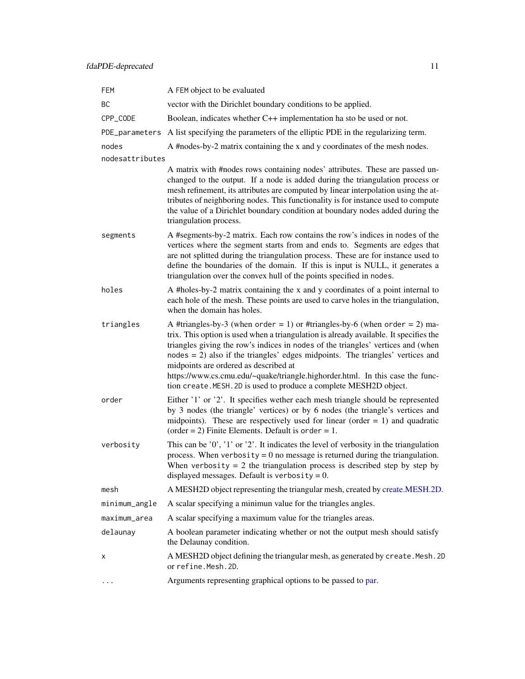<span id="page-10-0"></span>

| FEM             | A FEM object to be evaluated                                                                                                                                                                                                                                                                                                                                                                                                                                                                                                                |
|-----------------|---------------------------------------------------------------------------------------------------------------------------------------------------------------------------------------------------------------------------------------------------------------------------------------------------------------------------------------------------------------------------------------------------------------------------------------------------------------------------------------------------------------------------------------------|
| BC              | vector with the Dirichlet boundary conditions to be applied.                                                                                                                                                                                                                                                                                                                                                                                                                                                                                |
| CPP_CODE        | Boolean, indicates whether C++ implementation ha sto be used or not.                                                                                                                                                                                                                                                                                                                                                                                                                                                                        |
| PDE_parameters  | A list specifying the parameters of the elliptic PDE in the regularizing term.                                                                                                                                                                                                                                                                                                                                                                                                                                                              |
| nodes           | A #nodes-by-2 matrix containing the x and y coordinates of the mesh nodes.                                                                                                                                                                                                                                                                                                                                                                                                                                                                  |
| nodesattributes |                                                                                                                                                                                                                                                                                                                                                                                                                                                                                                                                             |
|                 | A matrix with #nodes rows containing nodes' attributes. These are passed un-<br>changed to the output. If a node is added during the triangulation process or<br>mesh refinement, its attributes are computed by linear interpolation using the at-<br>tributes of neighboring nodes. This functionality is for instance used to compute<br>the value of a Dirichlet boundary condition at boundary nodes added during the<br>triangulation process.                                                                                        |
| segments        | A #segments-by-2 matrix. Each row contains the row's indices in nodes of the<br>vertices where the segment starts from and ends to. Segments are edges that<br>are not splitted during the triangulation process. These are for instance used to<br>define the boundaries of the domain. If this is input is NULL, it generates a<br>triangulation over the convex hull of the points specified in nodes.                                                                                                                                   |
| holes           | A #holes-by-2 matrix containing the x and y coordinates of a point internal to<br>each hole of the mesh. These points are used to carve holes in the triangulation,<br>when the domain has holes.                                                                                                                                                                                                                                                                                                                                           |
| triangles       | A #triangles-by-3 (when order = 1) or #triangles-by-6 (when order = 2) ma-<br>trix. This option is used when a triangulation is already available. It specifies the<br>triangles giving the row's indices in nodes of the triangles' vertices and (when<br>$nodes = 2)$ also if the triangles' edges midpoints. The triangles' vertices and<br>midpoints are ordered as described at<br>https://www.cs.cmu.edu/~quake/triangle.highorder.html. In this case the func-<br>tion create. MESH. 2D is used to produce a complete MESH2D object. |
| order           | Either '1' or '2'. It specifies wether each mesh triangle should be represented<br>by 3 nodes (the triangle' vertices) or by 6 nodes (the triangle's vertices and<br>midpoints). These are respectively used for linear (order $= 1$ ) and quadratic<br>(order = 2) Finite Elements. Default is order = 1.                                                                                                                                                                                                                                  |
| verbosity       | This can be $'0'$ , $'1'$ or $'2'$ . It indicates the level of verbosity in the triangulation<br>process. When verbosity = $0$ no message is returned during the triangulation.<br>When verbosity $= 2$ the triangulation process is described step by step by<br>displayed messages. Default is verbosity = $0$ .                                                                                                                                                                                                                          |
| mesh            | A MESH2D object representing the triangular mesh, created by create.MESH.2D.                                                                                                                                                                                                                                                                                                                                                                                                                                                                |
| minimum_angle   | A scalar specifying a minimun value for the triangles angles.                                                                                                                                                                                                                                                                                                                                                                                                                                                                               |
| maximum_area    | A scalar specifying a maximum value for the triangles areas.                                                                                                                                                                                                                                                                                                                                                                                                                                                                                |
| delaunay        | A boolean parameter indicating whether or not the output mesh should satisfy<br>the Delaunay condition.                                                                                                                                                                                                                                                                                                                                                                                                                                     |
| х               | A MESH2D object defining the triangular mesh, as generated by create. Mesh. 2D<br>or refine.Mesh.2D.                                                                                                                                                                                                                                                                                                                                                                                                                                        |
| $\cdots$        | Arguments representing graphical options to be passed to par.                                                                                                                                                                                                                                                                                                                                                                                                                                                                               |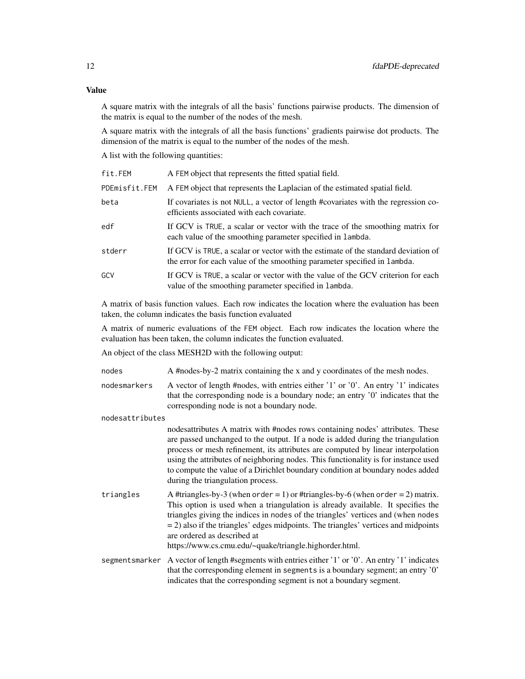## Value

A square matrix with the integrals of all the basis' functions pairwise products. The dimension of the matrix is equal to the number of the nodes of the mesh.

A square matrix with the integrals of all the basis functions' gradients pairwise dot products. The dimension of the matrix is equal to the number of the nodes of the mesh.

A list with the following quantities:

| fit.FEM       | A FEM object that represents the fitted spatial field.                                                                                                        |
|---------------|---------------------------------------------------------------------------------------------------------------------------------------------------------------|
| PDEmisfit.FEM | A FEM object that represents the Laplacian of the estimated spatial field.                                                                                    |
| beta          | If covariates is not NULL, a vector of length #covariates with the regression co-<br>efficients associated with each covariate.                               |
| edf           | If GCV is TRUE, a scalar or vector with the trace of the smoothing matrix for<br>each value of the smoothing parameter specified in lambda.                   |
| stderr        | If GCV is TRUE, a scalar or vector with the estimate of the standard deviation of<br>the error for each value of the smoothing parameter specified in lambda. |
| GCV           | If GCV is TRUE, a scalar or vector with the value of the GCV criterion for each<br>value of the smoothing parameter specified in lambda.                      |
|               |                                                                                                                                                               |

A matrix of basis function values. Each row indicates the location where the evaluation has been taken, the column indicates the basis function evaluated

A matrix of numeric evaluations of the FEM object. Each row indicates the location where the evaluation has been taken, the column indicates the function evaluated.

An object of the class MESH2D with the following output:

| nodes           | A #nodes-by-2 matrix containing the x and y coordinates of the mesh nodes.                                                                                                                                                                                                                                                                                                                                                                                       |  |  |  |
|-----------------|------------------------------------------------------------------------------------------------------------------------------------------------------------------------------------------------------------------------------------------------------------------------------------------------------------------------------------------------------------------------------------------------------------------------------------------------------------------|--|--|--|
| nodesmarkers    | A vector of length #nodes, with entries either '1' or '0'. An entry '1' indicates<br>that the corresponding node is a boundary node; an entry '0' indicates that the<br>corresponding node is not a boundary node.                                                                                                                                                                                                                                               |  |  |  |
| nodesattributes |                                                                                                                                                                                                                                                                                                                                                                                                                                                                  |  |  |  |
|                 | nodesattributes A matrix with #nodes rows containing nodes' attributes. These<br>are passed unchanged to the output. If a node is added during the triangulation<br>process or mesh refinement, its attributes are computed by linear interpolation<br>using the attributes of neighboring nodes. This functionality is for instance used<br>to compute the value of a Dirichlet boundary condition at boundary nodes added<br>during the triangulation process. |  |  |  |
| triangles       | A #triangles-by-3 (when order = 1) or #triangles-by-6 (when order = 2) matrix.<br>This option is used when a triangulation is already available. It specifies the<br>triangles giving the indices in nodes of the triangles' vertices and (when nodes<br>$=$ 2) also if the triangles' edges midpoints. The triangles' vertices and midpoints<br>are ordered as described at<br>https://www.cs.cmu.edu/~quake/triangle.highorder.html.                           |  |  |  |
|                 | segmentsmarker A vector of length #segments with entries either '1' or '0'. An entry '1' indicates<br>that the corresponding element in segments is a boundary segment; an entry '0'<br>indicates that the corresponding segment is not a boundary segment.                                                                                                                                                                                                      |  |  |  |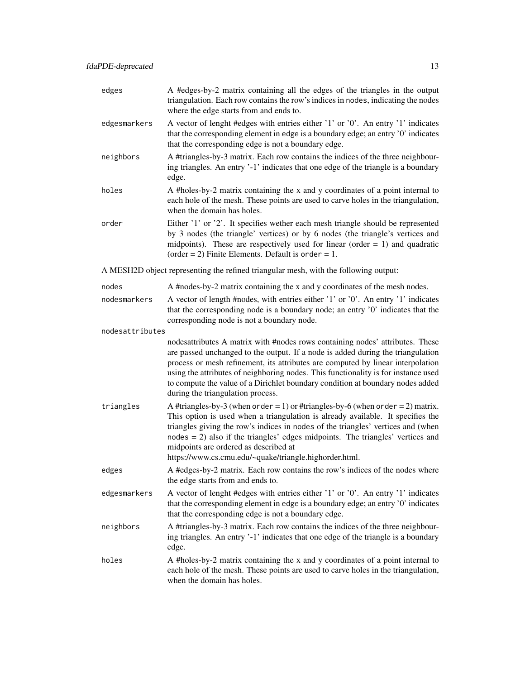| edges           | A #edges-by-2 matrix containing all the edges of the triangles in the output<br>triangulation. Each row contains the row's indices in nodes, indicating the nodes<br>where the edge starts from and ends to.                                                                                                                                                                                                                                                     |  |  |  |  |
|-----------------|------------------------------------------------------------------------------------------------------------------------------------------------------------------------------------------------------------------------------------------------------------------------------------------------------------------------------------------------------------------------------------------------------------------------------------------------------------------|--|--|--|--|
| edgesmarkers    | A vector of lenght #edges with entries either '1' or '0'. An entry '1' indicates<br>that the corresponding element in edge is a boundary edge; an entry '0' indicates<br>that the corresponding edge is not a boundary edge.                                                                                                                                                                                                                                     |  |  |  |  |
| neighbors       | A #triangles-by-3 matrix. Each row contains the indices of the three neighbour-<br>ing triangles. An entry '-1' indicates that one edge of the triangle is a boundary<br>edge.                                                                                                                                                                                                                                                                                   |  |  |  |  |
| holes           | A #holes-by-2 matrix containing the x and y coordinates of a point internal to<br>each hole of the mesh. These points are used to carve holes in the triangulation,<br>when the domain has holes.                                                                                                                                                                                                                                                                |  |  |  |  |
| order           | Either '1' or '2'. It specifies wether each mesh triangle should be represented<br>by 3 nodes (the triangle' vertices) or by 6 nodes (the triangle's vertices and<br>midpoints). These are respectively used for linear (order $= 1$ ) and quadratic<br>(order = 2) Finite Elements. Default is order = 1.                                                                                                                                                       |  |  |  |  |
|                 | A MESH2D object representing the refined triangular mesh, with the following output:                                                                                                                                                                                                                                                                                                                                                                             |  |  |  |  |
| nodes           | A #nodes-by-2 matrix containing the x and y coordinates of the mesh nodes.                                                                                                                                                                                                                                                                                                                                                                                       |  |  |  |  |
| nodesmarkers    | A vector of length #nodes, with entries either '1' or '0'. An entry '1' indicates<br>that the corresponding node is a boundary node; an entry '0' indicates that the<br>corresponding node is not a boundary node.                                                                                                                                                                                                                                               |  |  |  |  |
| nodesattributes |                                                                                                                                                                                                                                                                                                                                                                                                                                                                  |  |  |  |  |
|                 | nodesattributes A matrix with #nodes rows containing nodes' attributes. These<br>are passed unchanged to the output. If a node is added during the triangulation<br>process or mesh refinement, its attributes are computed by linear interpolation<br>using the attributes of neighboring nodes. This functionality is for instance used<br>to compute the value of a Dirichlet boundary condition at boundary nodes added<br>during the triangulation process. |  |  |  |  |
| triangles       | A #triangles-by-3 (when order = 1) or #triangles-by-6 (when order = 2) matrix.<br>This option is used when a triangulation is already available. It specifies the<br>triangles giving the row's indices in nodes of the triangles' vertices and (when<br>$nodes = 2)$ also if the triangles' edges midpoints. The triangles' vertices and<br>midpoints are ordered as described at<br>https://www.cs.cmu.edu/~quake/triangle.highorder.html.                     |  |  |  |  |
| edges           | A #edges-by-2 matrix. Each row contains the row's indices of the nodes where<br>the edge starts from and ends to.                                                                                                                                                                                                                                                                                                                                                |  |  |  |  |
| edgesmarkers    | A vector of lenght #edges with entries either '1' or '0'. An entry '1' indicates<br>that the corresponding element in edge is a boundary edge; an entry '0' indicates<br>that the corresponding edge is not a boundary edge.                                                                                                                                                                                                                                     |  |  |  |  |
| neighbors       | A #triangles-by-3 matrix. Each row contains the indices of the three neighbour-<br>ing triangles. An entry '-1' indicates that one edge of the triangle is a boundary<br>edge.                                                                                                                                                                                                                                                                                   |  |  |  |  |
| holes           | A #holes-by-2 matrix containing the x and y coordinates of a point internal to<br>each hole of the mesh. These points are used to carve holes in the triangulation,<br>when the domain has holes.                                                                                                                                                                                                                                                                |  |  |  |  |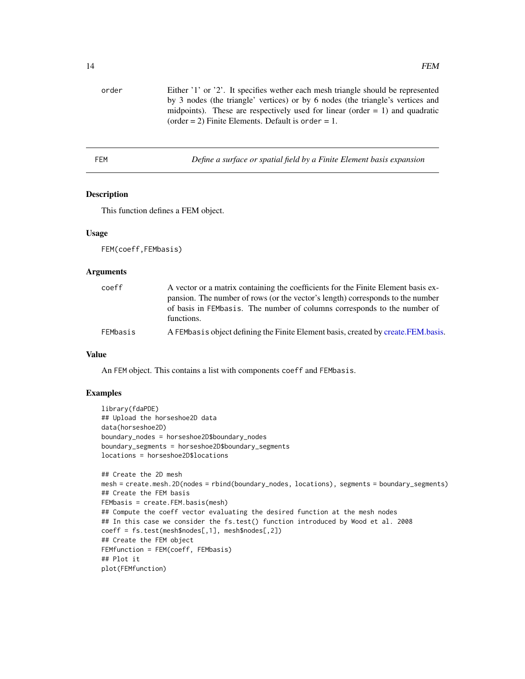<span id="page-13-0"></span>

| order | Either '1' or '2'. It specifies wether each mesh triangle should be represented |
|-------|---------------------------------------------------------------------------------|
|       | by 3 nodes (the triangle' vertices) or by 6 nodes (the triangle's vertices and  |
|       | midpoints). These are respectively used for linear (order $= 1$ ) and quadratic |
|       | (order = 2) Finite Elements. Default is order = 1.                              |
|       |                                                                                 |

<span id="page-13-1"></span>

| FEM |  | Define a surface or spatial field by a Finite Element basis expansion |  |
|-----|--|-----------------------------------------------------------------------|--|
|     |  |                                                                       |  |

#### Description

This function defines a FEM object.

#### Usage

FEM(coeff,FEMbasis)

#### Arguments

| coeff    | A vector or a matrix containing the coefficients for the Finite Element basis ex-<br>pansion. The number of rows (or the vector's length) corresponds to the number |
|----------|---------------------------------------------------------------------------------------------------------------------------------------------------------------------|
|          | of basis in FEMbasis. The number of columns corresponds to the number of<br>functions.                                                                              |
| FEMbasis | A FEMbasis object defining the Finite Element basis, created by create.FEM.basis.                                                                                   |

#### Value

An FEM object. This contains a list with components coeff and FEMbasis.

#### Examples

```
library(fdaPDE)
## Upload the horseshoe2D data
data(horseshoe2D)
boundary_nodes = horseshoe2D$boundary_nodes
boundary_segments = horseshoe2D$boundary_segments
locations = horseshoe2D$locations
## Create the 2D mesh
mesh = create.mesh.2D(nodes = rbind(boundary_nodes, locations), segments = boundary_segments)
## Create the FEM basis
```

```
FEMbasis = create.FEM.basis(mesh)
## Compute the coeff vector evaluating the desired function at the mesh nodes
## In this case we consider the fs.test() function introduced by Wood et al. 2008
coeff = fs.test(mesh$nodes[,1], mesh$nodes[,2])
## Create the FEM object
FEMfunction = FEM(coeff, FEMbasis)
## Plot it
plot(FEMfunction)
```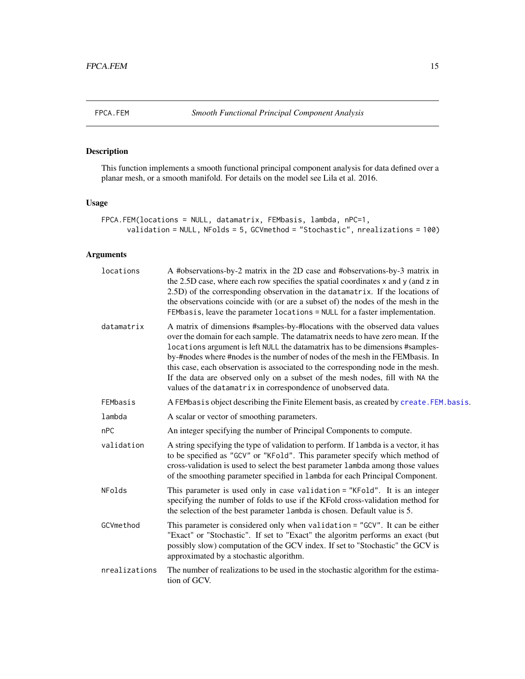<span id="page-14-0"></span>

### Description

This function implements a smooth functional principal component analysis for data defined over a planar mesh, or a smooth manifold. For details on the model see Lila et al. 2016.

#### Usage

```
FPCA.FEM(locations = NULL, datamatrix, FEMbasis, lambda, nPC=1,
      validation = NULL, NFolds = 5, GCVmethod = "Stochastic", nrealizations = 100)
```
### Arguments

| locations     | A #observations-by-2 matrix in the 2D case and #observations-by-3 matrix in<br>the 2.5D case, where each row specifies the spatial coordinates x and y (and z in<br>2.5D) of the corresponding observation in the datamatrix. If the locations of<br>the observations coincide with (or are a subset of) the nodes of the mesh in the<br>FEMbasis, leave the parameter locations = NULL for a faster implementation.                                                                                                                                                    |  |
|---------------|-------------------------------------------------------------------------------------------------------------------------------------------------------------------------------------------------------------------------------------------------------------------------------------------------------------------------------------------------------------------------------------------------------------------------------------------------------------------------------------------------------------------------------------------------------------------------|--|
| datamatrix    | A matrix of dimensions #samples-by-#locations with the observed data values<br>over the domain for each sample. The datamatrix needs to have zero mean. If the<br>locations argument is left NULL the datamatrix has to be dimensions #samples-<br>by-#nodes where #nodes is the number of nodes of the mesh in the FEMbasis. In<br>this case, each observation is associated to the corresponding node in the mesh.<br>If the data are observed only on a subset of the mesh nodes, fill with NA the<br>values of the datamatrix in correspondence of unobserved data. |  |
| FEMbasis      | A FEMbasis object describing the Finite Element basis, as created by create. FEM. basis.                                                                                                                                                                                                                                                                                                                                                                                                                                                                                |  |
| lambda        | A scalar or vector of smoothing parameters.                                                                                                                                                                                                                                                                                                                                                                                                                                                                                                                             |  |
| nPC           | An integer specifying the number of Principal Components to compute.                                                                                                                                                                                                                                                                                                                                                                                                                                                                                                    |  |
| validation    | A string specifying the type of validation to perform. If lambda is a vector, it has<br>to be specified as "GCV" or "KFold". This parameter specify which method of<br>cross-validation is used to select the best parameter lambda among those values<br>of the smoothing parameter specified in 1 ambda for each Principal Component.                                                                                                                                                                                                                                 |  |
| NFolds        | This parameter is used only in case validation = "KFold". It is an integer<br>specifying the number of folds to use if the KFold cross-validation method for<br>the selection of the best parameter lambda is chosen. Default value is 5.                                                                                                                                                                                                                                                                                                                               |  |
| GCVmethod     | This parameter is considered only when validation = "GCV". It can be either<br>"Exact" or "Stochastic". If set to "Exact" the algoritm performs an exact (but<br>possibly slow) computation of the GCV index. If set to "Stochastic" the GCV is<br>approximated by a stochastic algorithm.                                                                                                                                                                                                                                                                              |  |
| nrealizations | The number of realizations to be used in the stochastic algorithm for the estima-<br>tion of GCV.                                                                                                                                                                                                                                                                                                                                                                                                                                                                       |  |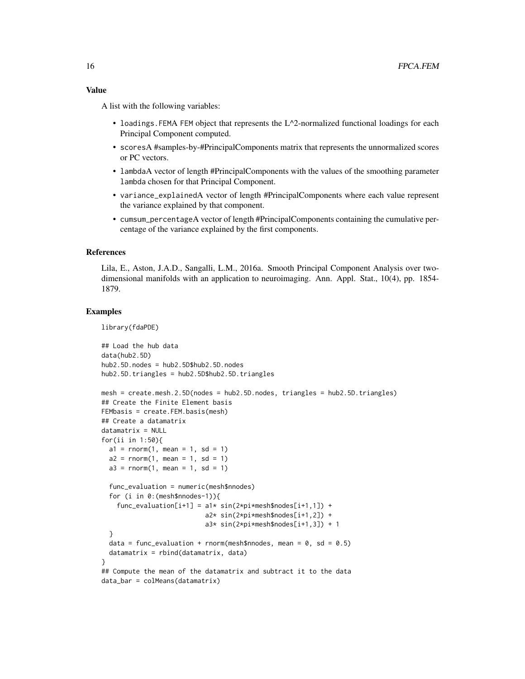A list with the following variables:

- loadings. FEMA FEM object that represents the  $L^{\wedge}2$ -normalized functional loadings for each Principal Component computed.
- scoresA #samples-by-#PrincipalComponents matrix that represents the unnormalized scores or PC vectors.
- lambdaA vector of length #PrincipalComponents with the values of the smoothing parameter lambda chosen for that Principal Component.
- variance\_explainedA vector of length #PrincipalComponents where each value represent the variance explained by that component.
- cumsum\_percentageA vector of length #PrincipalComponents containing the cumulative percentage of the variance explained by the first components.

#### References

Lila, E., Aston, J.A.D., Sangalli, L.M., 2016a. Smooth Principal Component Analysis over twodimensional manifolds with an application to neuroimaging. Ann. Appl. Stat., 10(4), pp. 1854- 1879.

#### Examples

library(fdaPDE)

```
## Load the hub data
data(hub2.5D)
hub2.5D.nodes = hub2.5D$hub2.5D.nodes
hub2.5D.triangles = hub2.5D$hub2.5D.triangles
mesh = create.mesh.2.5D(nodes = hub2.5D.nodes, triangles = hub2.5D.triangles)
## Create the Finite Element basis
FEMbasis = create.FEM.basis(mesh)
## Create a datamatrix
datamatrix = NULL
for(ii in 1:50){
 a1 = rnorm(1, mean = 1, sd = 1)a2 = rnorm(1, mean = 1, sd = 1)a3 = rnorm(1, mean = 1, sd = 1)func_evaluation = numeric(mesh$nnodes)
 for (i in 0:(mesh$nnodes-1)){
    func\_evaluation[i+1] = a1* sin(2*pi*mesh\$nodes[i+1,1]) +a2* sin(2*pi*mesh$nodes[i+1,2]) +
                           a3* sin(2*pi*mesh$nodes[i+1,3]) + 1
 }
 data = func_evaluation + rnorm(mesh$nnodes, mean = 0, sd = 0.5)
 datamatrix = rbind(datamatrix, data)
}
## Compute the mean of the datamatrix and subtract it to the data
data_bar = colMeans(datamatrix)
```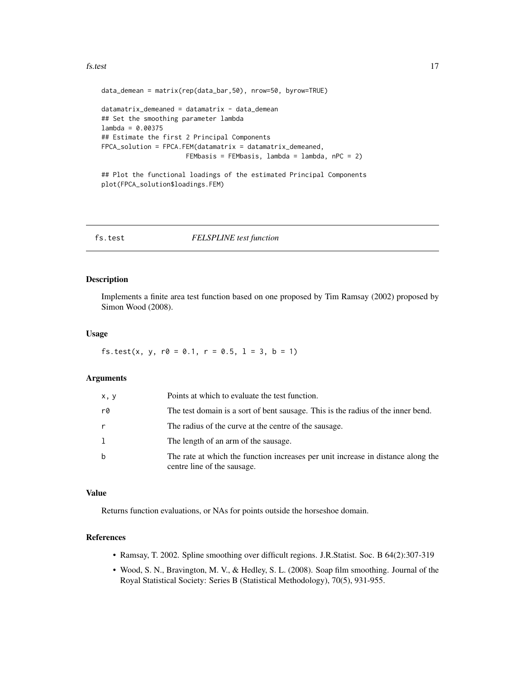#### <span id="page-16-0"></span>fs.test 17

```
data_demean = matrix(rep(data_bar,50), nrow=50, byrow=TRUE)
datamatrix_demeaned = datamatrix - data_demean
## Set the smoothing parameter lambda
lambda = 0.00375
## Estimate the first 2 Principal Components
FPCA_solution = FPCA.FEM(datamatrix = datamatrix_demeaned,
                      FEMbasis = FEMbasis, lambda = lambda, nPC = 2)
```

```
## Plot the functional loadings of the estimated Principal Components
plot(FPCA_solution$loadings.FEM)
```
#### fs.test *FELSPLINE test function*

#### Description

Implements a finite area test function based on one proposed by Tim Ramsay (2002) proposed by Simon Wood (2008).

#### Usage

fs.test(x, y,  $r0 = 0.1$ ,  $r = 0.5$ ,  $1 = 3$ ,  $b = 1$ )

#### Arguments

| x, y | Points at which to evaluate the test function.                                                                  |
|------|-----------------------------------------------------------------------------------------------------------------|
| r0   | The test domain is a sort of bent sausage. This is the radius of the inner bend.                                |
| r    | The radius of the curve at the centre of the sausage.                                                           |
|      | The length of an arm of the sausage.                                                                            |
| b    | The rate at which the function increases per unit increase in distance along the<br>centre line of the sausage. |

#### Value

Returns function evaluations, or NAs for points outside the horseshoe domain.

#### References

- Ramsay, T. 2002. Spline smoothing over difficult regions. J.R.Statist. Soc. B 64(2):307-319
- Wood, S. N., Bravington, M. V., & Hedley, S. L. (2008). Soap film smoothing. Journal of the Royal Statistical Society: Series B (Statistical Methodology), 70(5), 931-955.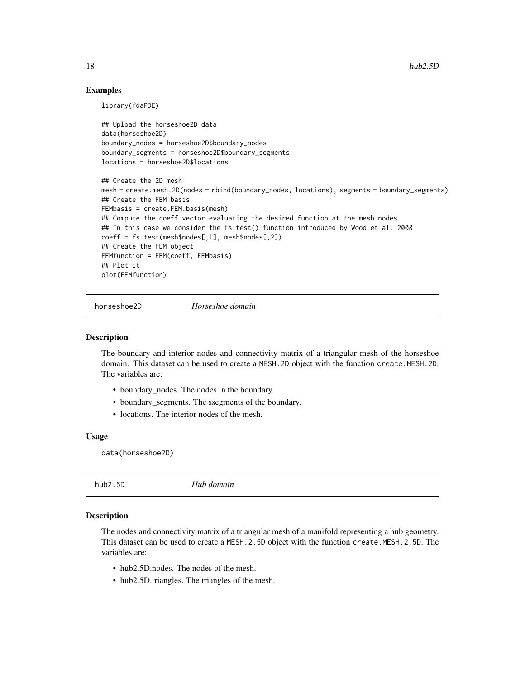#### Examples

library(fdaPDE)

```
## Upload the horseshoe2D data
data(horseshoe2D)
boundary_nodes = horseshoe2D$boundary_nodes
boundary_segments = horseshoe2D$boundary_segments
locations = horseshoe2D$locations
## Create the 2D mesh
mesh = create.mesh.2D(nodes = rbind(boundary_nodes, locations), segments = boundary_segments)
## Create the FEM basis
FEMbasis = create.FEM.basis(mesh)
## Compute the coeff vector evaluating the desired function at the mesh nodes
## In this case we consider the fs.test() function introduced by Wood et al. 2008
coeff = fs.test(mesh$nodes[,1], mesh$nodes[,2])
## Create the FEM object
FEMfunction = FEM(coeff, FEMbasis)
## Plot it
plot(FEMfunction)
```
horseshoe2D *Horseshoe domain*

#### Description

The boundary and interior nodes and connectivity matrix of a triangular mesh of the horseshoe domain. This dataset can be used to create a MESH. 2D object with the function create. MESH. 2D. The variables are:

- boundary\_nodes. The nodes in the boundary.
- boundary\_segments. The ssegments of the boundary.
- locations. The interior nodes of the mesh.

#### Usage

data(horseshoe2D)

| Hub domain<br>hub2.5D |
|-----------------------|
|-----------------------|

#### **Description**

The nodes and connectivity matrix of a triangular mesh of a manifold representing a hub geometry. This dataset can be used to create a MESH.2.5D object with the function create.MESH.2.5D. The variables are:

- hub2.5D, nodes. The nodes of the mesh.
- hub2.5D.triangles. The triangles of the mesh.

<span id="page-17-0"></span>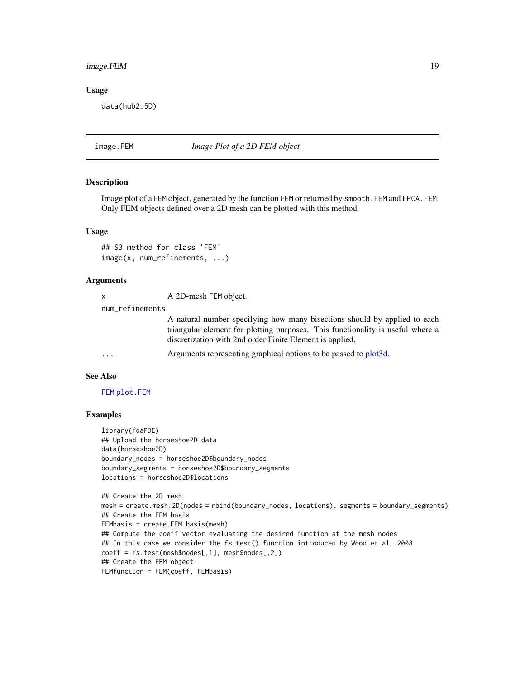#### <span id="page-18-0"></span>image.FEM 19

#### Usage

data(hub2.5D)

<span id="page-18-1"></span>image.FEM *Image Plot of a 2D FEM object*

#### Description

Image plot of a FEM object, generated by the function FEM or returned by smooth.FEM and FPCA.FEM. Only FEM objects defined over a 2D mesh can be plotted with this method.

#### Usage

```
## S3 method for class 'FEM'
image(x, num_refinements, ...)
```
#### Arguments

x A 2D-mesh FEM object.

num\_refinements

A natural number specifying how many bisections should by applied to each triangular element for plotting purposes. This functionality is useful where a discretization with 2nd order Finite Element is applied.

... Arguments representing graphical options to be passed to [plot3d.](#page-0-0)

#### See Also

#### [FEM](#page-13-1) [plot.FEM](#page-19-1)

#### Examples

```
library(fdaPDE)
## Upload the horseshoe2D data
data(horseshoe2D)
boundary_nodes = horseshoe2D$boundary_nodes
boundary_segments = horseshoe2D$boundary_segments
locations = horseshoe2D$locations
```

```
## Create the 2D mesh
mesh = create.mesh.2D(nodes = rbind(boundary_nodes, locations), segments = boundary_segments)
## Create the FEM basis
FEMbasis = create.FEM.basis(mesh)
## Compute the coeff vector evaluating the desired function at the mesh nodes
## In this case we consider the fs.test() function introduced by Wood et al. 2008
coeff = fs.test(mesh$nodes[,1], mesh$nodes[,2])
## Create the FEM object
FEMfunction = FEM(coeff, FEMbasis)
```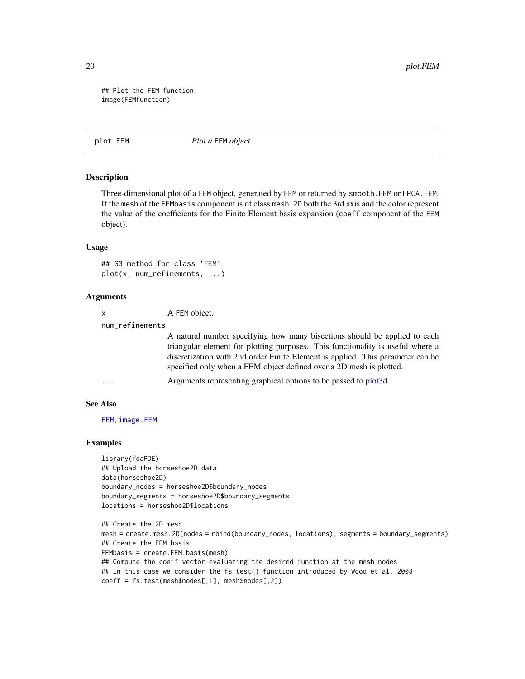## Plot the FEM function image(FEMfunction)

<span id="page-19-1"></span>plot.FEM *Plot a* FEM *object*

#### **Description**

Three-dimensional plot of a FEM object, generated by FEM or returned by smooth.FEM or FPCA.FEM. If the mesh of the FEMbasis component is of class mesh.2D both the 3rd axis and the color represent the value of the coefficients for the Finite Element basis expansion (coeff component of the FEM object).

#### Usage

```
## S3 method for class 'FEM'
plot(x, num_refinements, ...)
```
#### Arguments

| x | A FEM object. |
|---|---------------|
|---|---------------|

num\_refinements

A natural number specifying how many bisections should be applied to each triangular element for plotting purposes. This functionality is useful where a discretization with 2nd order Finite Element is applied. This parameter can be specified only when a FEM object defined over a 2D mesh is plotted.

```
... Arguments representing graphical options to be passed to plot3d.
```
#### See Also

[FEM](#page-13-1), [image.FEM](#page-18-1)

#### Examples

library(fdaPDE) ## Upload the horseshoe2D data data(horseshoe2D) boundary\_nodes = horseshoe2D\$boundary\_nodes boundary\_segments = horseshoe2D\$boundary\_segments locations = horseshoe2D\$locations

```
## Create the 2D mesh
mesh = create.mesh.2D(nodes = rbind(boundary_nodes, locations), segments = boundary_segments)
## Create the FEM basis
FEMbasis = create.FEM.basis(mesh)
## Compute the coeff vector evaluating the desired function at the mesh nodes
## In this case we consider the fs.test() function introduced by Wood et al. 2008
coeff = fs.test(mesh$nodes[,1], mesh$nodes[,2])
```
<span id="page-19-0"></span>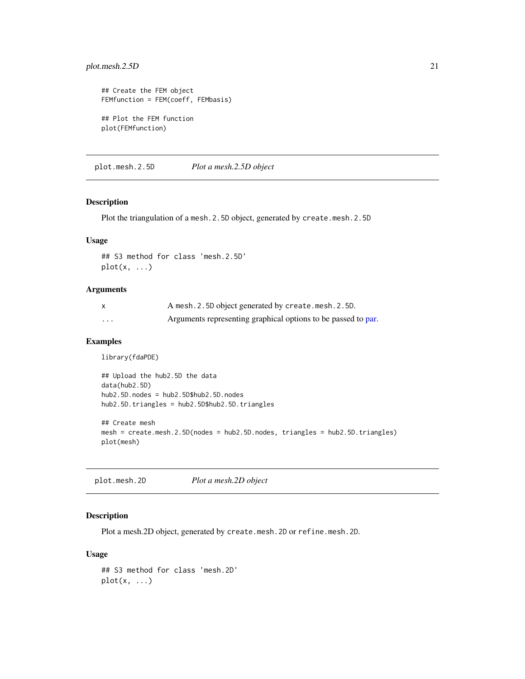#### <span id="page-20-0"></span>plot.mesh.2.5D 21

```
## Create the FEM object
FEMfunction = FEM(coeff, FEMbasis)
## Plot the FEM function
plot(FEMfunction)
```
plot.mesh.2.5D *Plot a mesh.2.5D object*

#### Description

Plot the triangulation of a mesh.2.5D object, generated by create.mesh.2.5D

#### Usage

```
## S3 method for class 'mesh.2.5D'
plot(x, \ldots)
```
#### Arguments

|          | A mesh. 2.5D object generated by create.mesh. 2.5D.           |
|----------|---------------------------------------------------------------|
| $\cdots$ | Arguments representing graphical options to be passed to par. |

#### Examples

library(fdaPDE)

```
## Upload the hub2.5D the data
data(hub2.5D)
hub2.5D.nodes = hub2.5D$hub2.5D.nodes
hub2.5D.triangles = hub2.5D$hub2.5D.triangles
## Create mesh
mesh = create.mesh.2.5D(nodes = hub2.5D.nodes, triangles = hub2.5D.triangles)
```

```
plot(mesh)
```
plot.mesh.2D *Plot a mesh.2D object*

#### Description

Plot a mesh.2D object, generated by create.mesh.2D or refine.mesh.2D.

#### Usage

## S3 method for class 'mesh.2D'  $plot(x, \ldots)$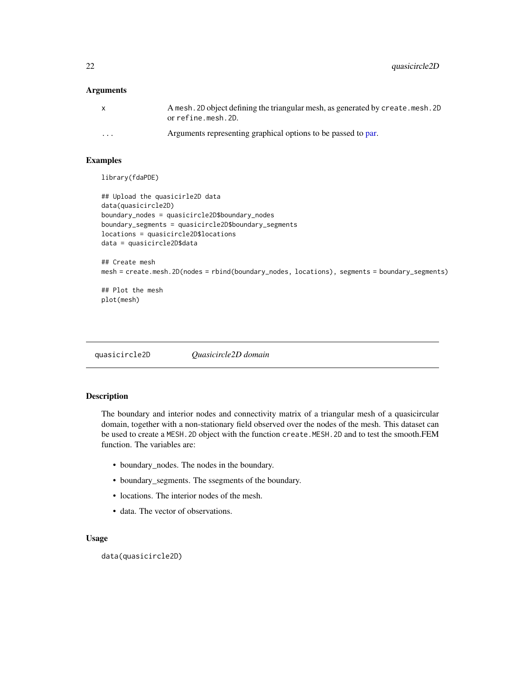<span id="page-21-0"></span>22 quasicircle2D

#### **Arguments**

| X        | A mesh. 2D object defining the triangular mesh, as generated by create. mesh. 2D<br>orrefine.mesh.2D. |
|----------|-------------------------------------------------------------------------------------------------------|
| $\cdots$ | Arguments representing graphical options to be passed to par.                                         |

#### Examples

library(fdaPDE)

```
## Upload the quasicirle2D data
data(quasicircle2D)
boundary_nodes = quasicircle2D$boundary_nodes
boundary_segments = quasicircle2D$boundary_segments
locations = quasicircle2D$locations
data = quasicircle2D$data
## Create mesh
mesh = create.mesh.2D(nodes = rbind(boundary_nodes, locations), segments = boundary_segments)
```

```
## Plot the mesh
plot(mesh)
```
quasicircle2D *Quasicircle2D domain*

#### Description

The boundary and interior nodes and connectivity matrix of a triangular mesh of a quasicircular domain, together with a non-stationary field observed over the nodes of the mesh. This dataset can be used to create a MESH.2D object with the function create.MESH.2D and to test the smooth.FEM function. The variables are:

- boundary\_nodes. The nodes in the boundary.
- boundary\_segments. The ssegments of the boundary.
- locations. The interior nodes of the mesh.
- data. The vector of observations.

#### Usage

data(quasicircle2D)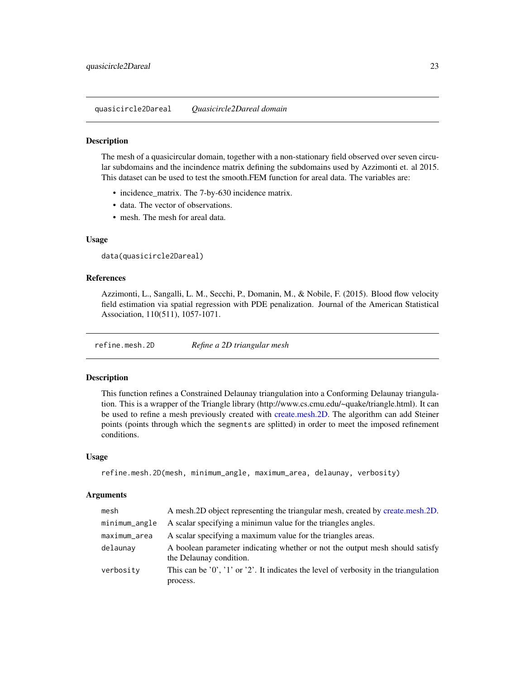#### <span id="page-22-0"></span>Description

The mesh of a quasicircular domain, together with a non-stationary field observed over seven circular subdomains and the incindence matrix defining the subdomains used by Azzimonti et. al 2015. This dataset can be used to test the smooth.FEM function for areal data. The variables are:

- incidence\_matrix. The 7-by-630 incidence matrix.
- data. The vector of observations.
- mesh. The mesh for areal data.

#### Usage

```
data(quasicircle2Dareal)
```
#### References

Azzimonti, L., Sangalli, L. M., Secchi, P., Domanin, M., & Nobile, F. (2015). Blood flow velocity field estimation via spatial regression with PDE penalization. Journal of the American Statistical Association, 110(511), 1057-1071.

<span id="page-22-1"></span>refine.mesh.2D *Refine a 2D triangular mesh*

#### Description

This function refines a Constrained Delaunay triangulation into a Conforming Delaunay triangulation. This is a wrapper of the Triangle library (http://www.cs.cmu.edu/~quake/triangle.html). It can be used to refine a mesh previously created with [create.mesh.2D.](#page-4-1) The algorithm can add Steiner points (points through which the segments are splitted) in order to meet the imposed refinement conditions.

#### Usage

```
refine.mesh.2D(mesh, minimum_angle, maximum_area, delaunay, verbosity)
```
#### Arguments

| mesh          | A mesh. 2D object representing the triangular mesh, created by create.mesh. 2D.                         |
|---------------|---------------------------------------------------------------------------------------------------------|
| minimum_angle | A scalar specifying a minimun value for the triangles angles.                                           |
| maximum_area  | A scalar specifying a maximum value for the triangles areas.                                            |
| delaunay      | A boolean parameter indicating whether or not the output mesh should satisfy<br>the Delaunay condition. |
| verbosity     | This can be $'0', '1'$ or $'2'.$ It indicates the level of verbosity in the triangulation<br>process.   |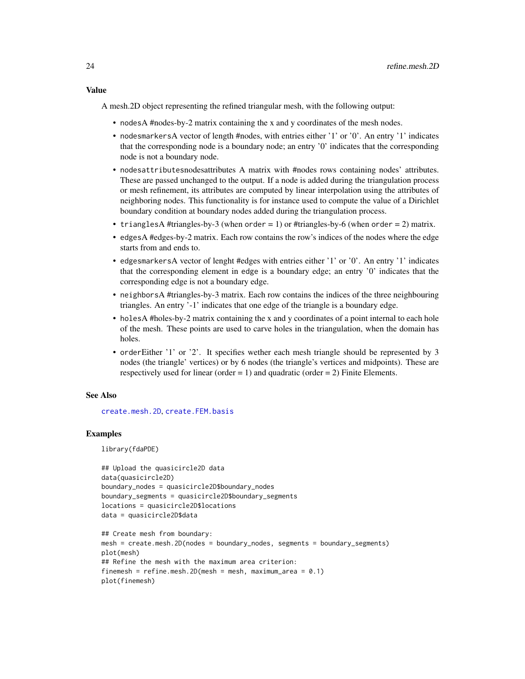#### <span id="page-23-0"></span>Value

A mesh.2D object representing the refined triangular mesh, with the following output:

- nodesA #nodes-by-2 matrix containing the x and y coordinates of the mesh nodes.
- nodesmarkersA vector of length #nodes, with entries either '1' or '0'. An entry '1' indicates that the corresponding node is a boundary node; an entry '0' indicates that the corresponding node is not a boundary node.
- nodesattributesnodesattributes A matrix with #nodes rows containing nodes' attributes. These are passed unchanged to the output. If a node is added during the triangulation process or mesh refinement, its attributes are computed by linear interpolation using the attributes of neighboring nodes. This functionality is for instance used to compute the value of a Dirichlet boundary condition at boundary nodes added during the triangulation process.
- triangles A #triangles-by-3 (when order = 1) or #triangles-by-6 (when order = 2) matrix.
- edgesA #edges-by-2 matrix. Each row contains the row's indices of the nodes where the edge starts from and ends to.
- edgesmarkersA vector of lenght #edges with entries either '1' or '0'. An entry '1' indicates that the corresponding element in edge is a boundary edge; an entry '0' indicates that the corresponding edge is not a boundary edge.
- neighborsA #triangles-by-3 matrix. Each row contains the indices of the three neighbouring triangles. An entry '-1' indicates that one edge of the triangle is a boundary edge.
- holesA #holes-by-2 matrix containing the x and y coordinates of a point internal to each hole of the mesh. These points are used to carve holes in the triangulation, when the domain has holes.
- orderEither '1' or '2'. It specifies wether each mesh triangle should be represented by 3 nodes (the triangle' vertices) or by 6 nodes (the triangle's vertices and midpoints). These are respectively used for linear (order  $= 1$ ) and quadratic (order  $= 2$ ) Finite Elements.

#### See Also

[create.mesh.2D](#page-4-1), [create.FEM.basis](#page-2-1)

#### Examples

library(fdaPDE)

```
## Upload the quasicircle2D data
data(quasicircle2D)
boundary_nodes = quasicircle2D$boundary_nodes
boundary_segments = quasicircle2D$boundary_segments
locations = quasicircle2D$locations
data = quasicircle2D$data
```

```
## Create mesh from boundary:
mesh = create.mesh.2D(nodes = boundary_nodes, segments = boundary_segments)
plot(mesh)
## Refine the mesh with the maximum area criterion:
finemesh = refine.mesh.2D(mesh = mesh, maximum_area = 0.1)
plot(finemesh)
```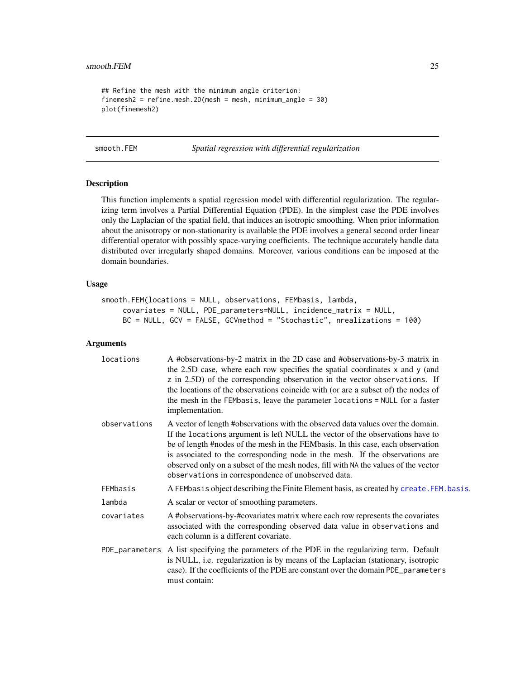```
## Refine the mesh with the minimum angle criterion:
finemesh2 = refine.mesh.2D(mesh = mesh, minimum_angle = 30)
plot(finemesh2)
```
smooth.FEM *Spatial regression with differential regularization*

#### Description

This function implements a spatial regression model with differential regularization. The regularizing term involves a Partial Differential Equation (PDE). In the simplest case the PDE involves only the Laplacian of the spatial field, that induces an isotropic smoothing. When prior information about the anisotropy or non-stationarity is available the PDE involves a general second order linear differential operator with possibly space-varying coefficients. The technique accurately handle data distributed over irregularly shaped domains. Moreover, various conditions can be imposed at the domain boundaries.

#### Usage

```
smooth.FEM(locations = NULL, observations, FEMbasis, lambda,
     covariates = NULL, PDE_parameters=NULL, incidence_matrix = NULL,
     BC = NULL, GCV = FALSE, GCVmethod = "Stochastic", nrealizations = 100)
```
#### Arguments

| locations    | A #observations-by-2 matrix in the 2D case and #observations-by-3 matrix in<br>the 2.5D case, where each row specifies the spatial coordinates x and y (and<br>z in 2.5D) of the corresponding observation in the vector observations. If<br>the locations of the observations coincide with (or are a subset of) the nodes of<br>the mesh in the FEMbasis, leave the parameter locations = NULL for a faster<br>implementation.                                                |
|--------------|---------------------------------------------------------------------------------------------------------------------------------------------------------------------------------------------------------------------------------------------------------------------------------------------------------------------------------------------------------------------------------------------------------------------------------------------------------------------------------|
| observations | A vector of length #observations with the observed data values over the domain.<br>If the locations argument is left NULL the vector of the observations have to<br>be of length #nodes of the mesh in the FEMbasis. In this case, each observation<br>is associated to the corresponding node in the mesh. If the observations are<br>observed only on a subset of the mesh nodes, fill with NA the values of the vector<br>observations in correspondence of unobserved data. |
| FEMbasis     | A FEMbasis object describing the Finite Element basis, as created by create. FEM. basis.                                                                                                                                                                                                                                                                                                                                                                                        |
| lambda       | A scalar or vector of smoothing parameters.                                                                                                                                                                                                                                                                                                                                                                                                                                     |
| covariates   | A #observations-by-#covariates matrix where each row represents the covariates<br>associated with the corresponding observed data value in observations and<br>each column is a different covariate.                                                                                                                                                                                                                                                                            |
|              | PDE parameters A list specifying the parameters of the PDE in the regularizing term. Default<br>is NULL, i.e. regularization is by means of the Laplacian (stationary, isotropic<br>case). If the coefficients of the PDE are constant over the domain PDE_parameters<br>must contain:                                                                                                                                                                                          |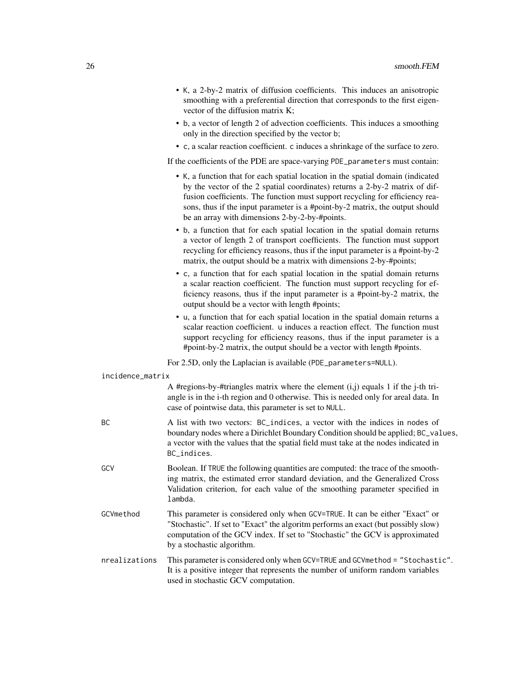- K, a 2-by-2 matrix of diffusion coefficients. This induces an anisotropic smoothing with a preferential direction that corresponds to the first eigenvector of the diffusion matrix K;
- b, a vector of length 2 of advection coefficients. This induces a smoothing only in the direction specified by the vector b;
- c, a scalar reaction coefficient. c induces a shrinkage of the surface to zero.

If the coefficients of the PDE are space-varying PDE\_parameters must contain:

- K, a function that for each spatial location in the spatial domain (indicated by the vector of the 2 spatial coordinates) returns a 2-by-2 matrix of diffusion coefficients. The function must support recycling for efficiency reasons, thus if the input parameter is a #point-by-2 matrix, the output should be an array with dimensions 2-by-2-by-#points.
- b, a function that for each spatial location in the spatial domain returns a vector of length 2 of transport coefficients. The function must support recycling for efficiency reasons, thus if the input parameter is a #point-by-2 matrix, the output should be a matrix with dimensions 2-by-#points;
- c, a function that for each spatial location in the spatial domain returns a scalar reaction coefficient. The function must support recycling for efficiency reasons, thus if the input parameter is a #point-by-2 matrix, the output should be a vector with length #points;
- u, a function that for each spatial location in the spatial domain returns a scalar reaction coefficient. u induces a reaction effect. The function must support recycling for efficiency reasons, thus if the input parameter is a #point-by-2 matrix, the output should be a vector with length #points.

For 2.5D, only the Laplacian is available (PDE\_parameters=NULL).

| incidence_matrix |  |
|------------------|--|
|------------------|--|

|               | A #regions-by-#triangles matrix where the element $(i,j)$ equals 1 if the j-th tri-<br>angle is in the i-th region and 0 otherwise. This is needed only for areal data. In<br>case of pointwise data, this parameter is set to NULL.                                             |
|---------------|----------------------------------------------------------------------------------------------------------------------------------------------------------------------------------------------------------------------------------------------------------------------------------|
| ВC.           | A list with two vectors: BC_indices, a vector with the indices in nodes of<br>boundary nodes where a Dirichlet Boundary Condition should be applied; BC_values,<br>a vector with the values that the spatial field must take at the nodes indicated in<br>BC_indices.            |
| GCV           | Boolean. If TRUE the following quantities are computed: the trace of the smooth-<br>ing matrix, the estimated error standard deviation, and the Generalized Cross<br>Validation criterion, for each value of the smoothing parameter specified in<br>lambda.                     |
| GCVmethod     | This parameter is considered only when GCV=TRUE. It can be either "Exact" or<br>"Stochastic". If set to "Exact" the algoritm performs an exact (but possibly slow)<br>computation of the GCV index. If set to "Stochastic" the GCV is approximated<br>by a stochastic algorithm. |
| nrealizations | This parameter is considered only when GCV=TRUE and GCVmethod = "Stochastic".<br>It is a positive integer that represents the number of uniform random variables<br>used in stochastic GCV computation.                                                                          |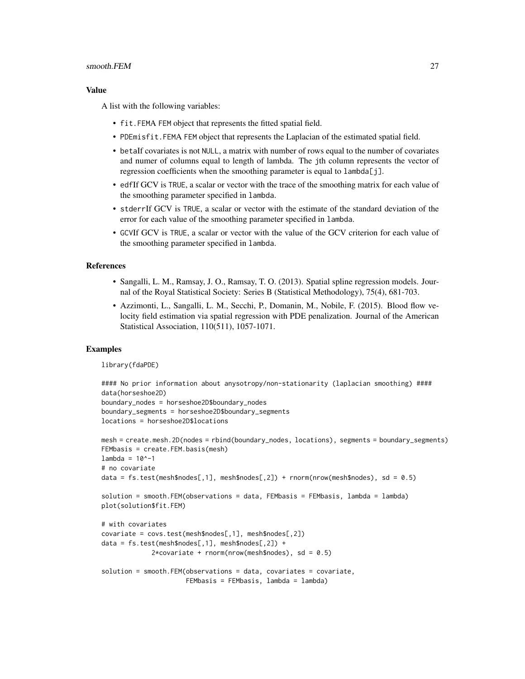#### smooth.FEM 27

#### Value

A list with the following variables:

- fit.FEMA FEM object that represents the fitted spatial field.
- PDEmisfit.FEMA FEM object that represents the Laplacian of the estimated spatial field.
- betaIf covariates is not NULL, a matrix with number of rows equal to the number of covariates and numer of columns equal to length of lambda. The jth column represents the vector of regression coefficients when the smoothing parameter is equal to lambda[j].
- edfIf GCV is TRUE, a scalar or vector with the trace of the smoothing matrix for each value of the smoothing parameter specified in lambda.
- stderrIf GCV is TRUE, a scalar or vector with the estimate of the standard deviation of the error for each value of the smoothing parameter specified in lambda.
- GCVIf GCV is TRUE, a scalar or vector with the value of the GCV criterion for each value of the smoothing parameter specified in lambda.

#### References

- Sangalli, L. M., Ramsay, J. O., Ramsay, T. O. (2013). Spatial spline regression models. Journal of the Royal Statistical Society: Series B (Statistical Methodology), 75(4), 681-703.
- Azzimonti, L., Sangalli, L. M., Secchi, P., Domanin, M., Nobile, F. (2015). Blood flow velocity field estimation via spatial regression with PDE penalization. Journal of the American Statistical Association, 110(511), 1057-1071.

#### Examples

library(fdaPDE)

```
#### No prior information about anysotropy/non-stationarity (laplacian smoothing) ####
data(horseshoe2D)
boundary_nodes = horseshoe2D$boundary_nodes
boundary_segments = horseshoe2D$boundary_segments
locations = horseshoe2D$locations
mesh = create.mesh.2D(nodes = rbind(boundary_nodes, locations), segments = boundary_segments)
FEMbasis = create.FEM.basis(mesh)
lambda = 10^{\circ}-1# no covariate
data = fs.test(mesh\$nodes[, 1], mesh\$nodes[, 2]) + rnorm(nrow(mesh\$nodes), sd = 0.5)solution = smooth.FEM(observations = data, FEMbasis = FEMbasis, lambda = lambda)
plot(solution$fit.FEM)
# with covariates
covariate = covs.test(mesh$nodes[,1], mesh$nodes[,2])
data = fs.test(mesh\$nodes[, 1], mesh\$nodes[, 2]) +2*covariate + rnorm(nrow(mesh\$nodes), sd = 0.5)
```

```
solution = smooth.FEM(observations = data, covariates = covariate,
                     FEMbasis = FEMbasis, lambda = lambda)
```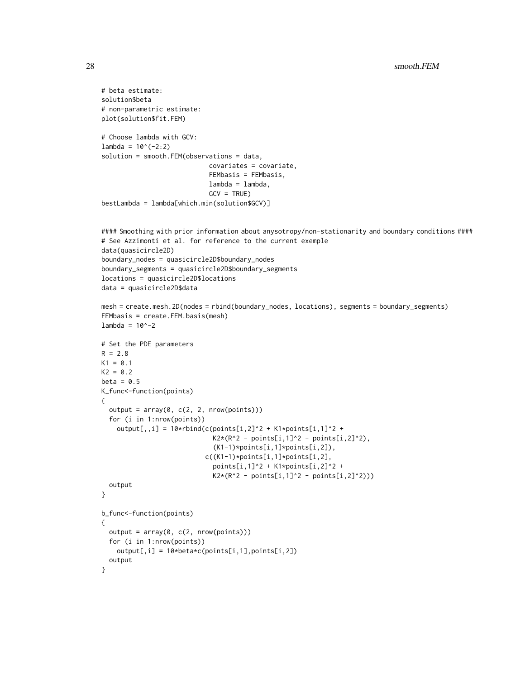```
# beta estimate:
solution$beta
# non-parametric estimate:
plot(solution$fit.FEM)
# Choose lambda with GCV:
lambda = 10^(-2:2)solution = smooth.FEM(observations = data,
                            covariates = covariate,
                            FEMbasis = FEMbasis,
                            lambda = lambda,
                            GCV = TRUE)
bestLambda = lambda[which.min(solution$GCV)]
#### Smoothing with prior information about anysotropy/non-stationarity and boundary conditions ####
# See Azzimonti et al. for reference to the current exemple
data(quasicircle2D)
boundary_nodes = quasicircle2D$boundary_nodes
boundary_segments = quasicircle2D$boundary_segments
locations = quasicircle2D$locations
data = quasicircle2D$data
mesh = create.mesh.2D(nodes = rbind(boundary_nodes, locations), segments = boundary_segments)
FEMbasis = create.FEM.basis(mesh)
lambda = 10^{\wedge} - 2# Set the PDE parameters
R = 2.8K1 = 0.1K2 = 0.2beta = 0.5K_func<-function(points)
{
  output = array(0, c(2, 2, new(points)))for (i in 1:nrow(points))
    output[,,i] = 10*rbind(c(points[i,2]^2 + K1*piphi[i,1]^2 +K2*(R^2 - points[i,1]^2 - points[i,2]^2),
                             (K1-1)*points[i,1]*points[i,2]),
                           c((K1-1)*points[i,1]*points[i,2],
                             points[i,1]^2 + K1*points[i,2]^2 +
                             K2*(R^2 - points[i,1]^2 - points[i,2]^2))output
}
b_func<-function(points)
{
  output = array(0, c(2, nrow(points)))
  for (i in 1:nrow(points))
   output[,i] = 10*beta*c(points[i,1],points[i,2])
  output
}
```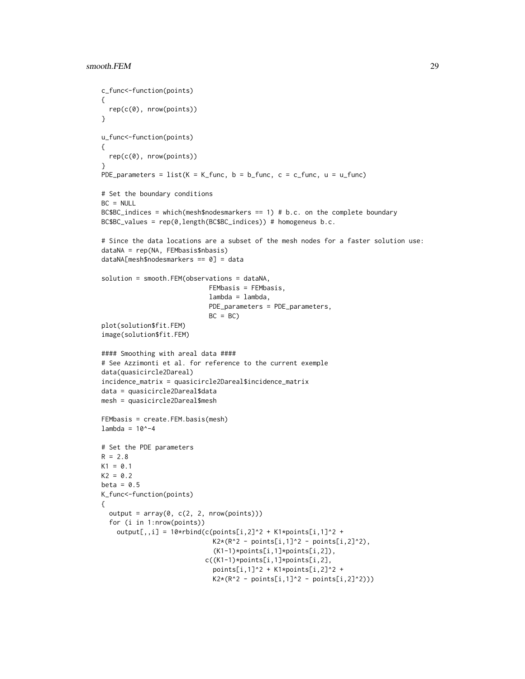```
c_func<-function(points)
{
  rep(c(0), nrow(points))
}
u_func<-function(points)
{
  rep(c(0), nrow(points))
}
PDE_parameters = list(K = K_func, b = b_func, c = c_func, u = u_func)# Set the boundary conditions
BC = NULLBC$BC_indices = which(mesh$nodesmarkers == 1) # b.c. on the complete boundary
BC$BC_values = rep(0,length(BC$BC_indices)) # homogeneus b.c.
# Since the data locations are a subset of the mesh nodes for a faster solution use:
dataNA = rep(NA, FEMbasis$nbasis)
dataNA[mesh$nodesmarkers == 0] = data
solution = smooth.FEM(observations = dataNA,
                            FEMbasis = FEMbasis,
                            lambda = lambda,
                            PDE_parameters = PDE_parameters,
                            BC = BCplot(solution$fit.FEM)
image(solution$fit.FEM)
#### Smoothing with areal data ####
# See Azzimonti et al. for reference to the current exemple
data(quasicircle2Dareal)
incidence_matrix = quasicircle2Dareal$incidence_matrix
data = quasicircle2Dareal$data
mesh = quasicircle2Dareal$mesh
FEMbasis = create.FEM.basis(mesh)
lambda = 10^{\circ} - 4# Set the PDE parameters
R = 2.8K1 = 0.1K2 = 0.2beta = 0.5K_func<-function(points)
{
  output = array(0, c(2, 2, nrow(points)))for (i in 1:nrow(points))
    output[,,i] = 10*rbind(c(points[i,2]^2 + K1*points[i,1]^2 +K2*(R^2 - points[i,1]^2 - points[i,2]^2),(K1-1)*points[i,1]*points[i,2]),
                           c((K1-1)*points[i,1]*points[i,2],
                             points[i,1]<sup>^2</sup> + K1*points[i,2]^2 +
                             K2*(R^2 - points[i,1]^2 - points[i,2]^2)
```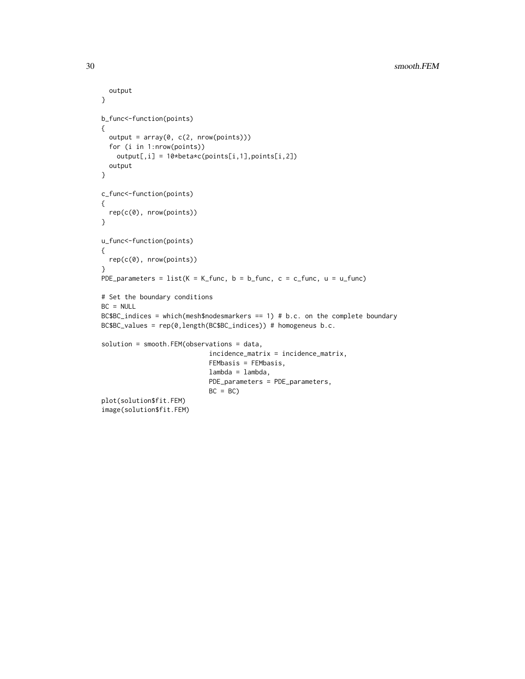```
output
}
b_func<-function(points)
{
  output = array(0, c(2, nrow(points)))
  for (i in 1:nrow(points))
   output[,i] = 10*beta*c(points[i,1],points[i,2])
 output
}
c_func<-function(points)
{
  rep(c(0), nrow(points))
}
u_func<-function(points)
{
  rep(c(0), nrow(points))
}
PDE_parameters = list(K = K_func, b = b_func, c = c_func, u = u_func)# Set the boundary conditions
BC = NULLBC$BC_indices = which(mesh$nodesmarkers == 1) # b.c. on the complete boundary
BC$BC_values = rep(0,length(BC$BC_indices)) # homogeneus b.c.
solution = smooth.FEM(observations = data,
                            incidence_matrix = incidence_matrix,
                            FEMbasis = FEMbasis,
                            lambda = lambda,
                            PDE_parameters = PDE_parameters,
                            BC = BCplot(solution$fit.FEM)
image(solution$fit.FEM)
```